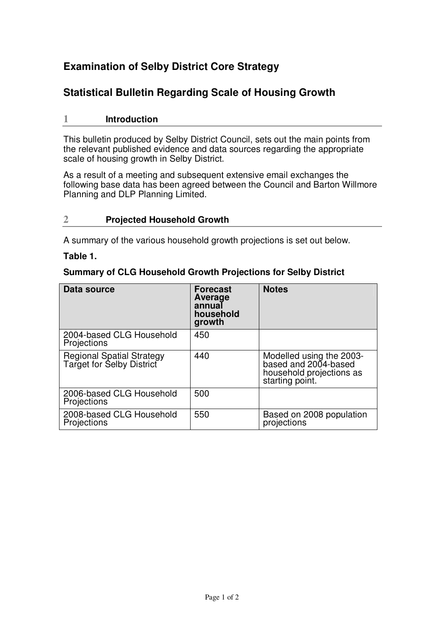# **Examination of Selby District Core Strategy**

## **Statistical Bulletin Regarding Scale of Housing Growth**

## **1 Introduction**

This bulletin produced by Selby District Council, sets out the main points from the relevant published evidence and data sources regarding the appropriate scale of housing growth in Selby District.

As a result of a meeting and subsequent extensive email exchanges the following base data has been agreed between the Council and Barton Willmore Planning and DLP Planning Limited.

## **2 Projected Household Growth**

A summary of the various household growth projections is set out below.

### **Table 1.**

## **Summary of CLG Household Growth Projections for Selby District**

| Data source                                            | <b>Forecast</b><br>Average<br>annual<br>household<br>growth | <b>Notes</b>                                                                                    |
|--------------------------------------------------------|-------------------------------------------------------------|-------------------------------------------------------------------------------------------------|
| 2004-based CLG Household<br><b>Projections</b>         | 450                                                         |                                                                                                 |
| Regional Spatial Strategy<br>Target for Selby District | 440                                                         | Modelled using the 2003-<br>based and 2004-based<br>household projections as<br>starting point. |
| 2006-based CLG Household<br>Projections                | 500                                                         |                                                                                                 |
| 2008-based CLG Household<br>Projections                | 550                                                         | Based on 2008 population<br>projections                                                         |